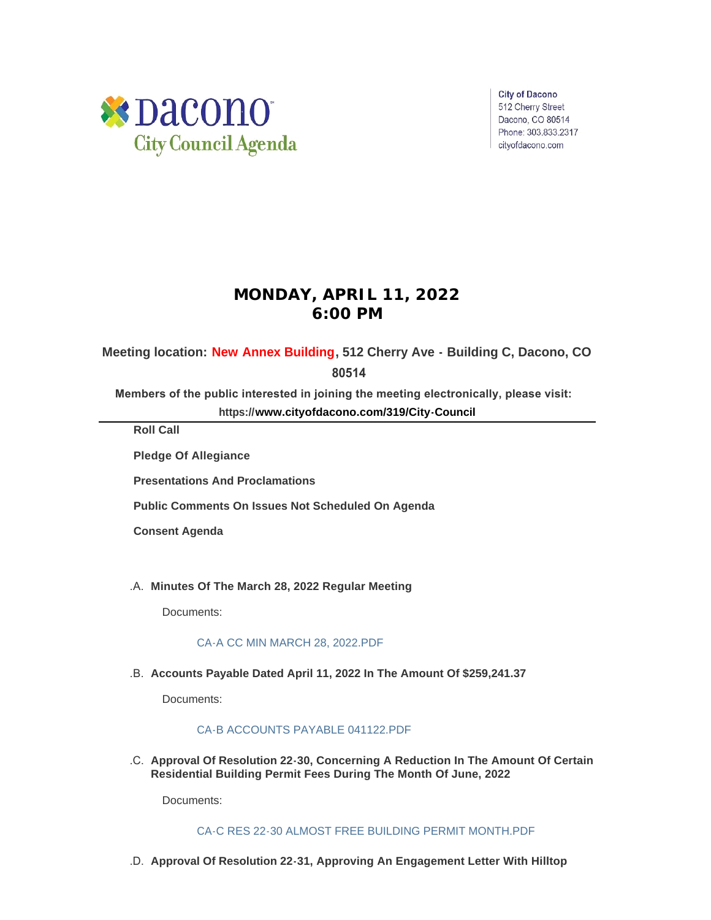

**City of Dacono** 512 Cherry Street Dacono, CO 80514 Phone: 303.833.2317 cityofdacono.com

# **MONDAY, APRIL 11, 2022 6:00 PM**

# **Meeting location: New Annex Building, 512 Cherry Ave - Building C, Dacono, CO**

 **80514**

**Members of the public interested in joining the meeting electronically, please visit:** 

**https://[www.cityofdacono.com/319/City-Council](http://www.cityofdacono.com/319/City-Council)**

**Roll Call**

**Pledge Of Allegiance** 

**Presentations And Proclamations**

**Public Comments On Issues Not Scheduled On Agenda**

**Consent Agenda**

**Minutes Of The March 28, 2022 Regular Meeting** .A.

Documents:

#### [CA-A CC MIN MARCH 28, 2022.PDF](https://www.cityofdacono.com/AgendaCenter/ViewFile/Item/2039?fileID=2786)

**Accounts Payable Dated April 11, 2022 In The Amount Of \$259,241.37** .B.

Documents:

## [CA-B ACCOUNTS PAYABLE 041122.PDF](https://www.cityofdacono.com/AgendaCenter/ViewFile/Item/2040?fileID=2787)

**Approval Of Resolution 22-30, Concerning A Reduction In The Amount Of Certain**  .C. **Residential Building Permit Fees During The Month Of June, 2022**

Documents:

[CA-C RES 22-30 ALMOST FREE BUILDING PERMIT MONTH.PDF](https://www.cityofdacono.com/AgendaCenter/ViewFile/Item/2041?fileID=2788)

**Approval Of Resolution 22-31, Approving An Engagement Letter With Hilltop**  .D.